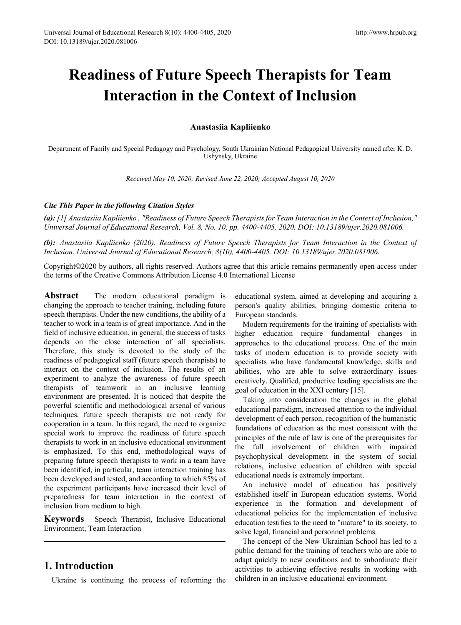# **Readiness of Future Speech Therapists for Team Interaction in the Context of Inclusion**

## **Anastasiia Kapliienko**

Department of Family and Special Pedagogy and Psychology, South Ukrainian National Pedagogical University named after K. D. Ushynsky, Ukraine

*Received May 10, 2020; Revised June 22, 2020; Accepted August 10, 2020* 

#### *Cite This Paper in the following Citation Styles*

*(a): [1] Anastasiia Kapliienko , "Readiness of Future Speech Therapists for Team Interaction in the Context of Inclusion," Universal Journal of Educational Research, Vol. 8, No. 10, pp. 4400-4405, 2020. DOI: 10.13189/ujer.2020.081006.* 

*(b): Anastasiia Kapliienko (2020). Readiness of Future Speech Therapists for Team Interaction in the Context of Inclusion. Universal Journal of Educational Research, 8(10), 4400-4405. DOI: 10.13189/ujer.2020.081006.* 

Copyright©2020 by authors, all rights reserved. Authors agree that this article remains permanently open access under the terms of the Creative Commons Attribution License 4.0 International License

**Abstract** The modern educational paradigm is changing the approach to teacher training, including future speech therapists. Under the new conditions, the ability of a teacher to work in a team is of great importance. And in the field of inclusive education, in general, the success of tasks depends on the close interaction of all specialists. Therefore, this study is devoted to the study of the readiness of pedagogical staff (future speech therapists) to interact on the context of inclusion. The results of an experiment to analyze the awareness of future speech therapists of teamwork in an inclusive learning environment are presented. It is noticed that despite the powerful scientific and methodological arsenal of various techniques, future speech therapists are not ready for cooperation in a team. In this regard, the need to organize special work to improve the readiness of future speech therapists to work in an inclusive educational environment is emphasized. To this end, methodological ways of preparing future speech therapists to work in a team have been identified, in particular, team interaction training has been developed and tested, and according to which 85% of the experiment participants have increased their level of preparedness for team interaction in the context of inclusion from medium to high.

**Keywords** Speech Therapist, Inclusive Educational Environment, Team Interaction

# **1. Introduction**

Ukraine is continuing the process of reforming the

educational system, aimed at developing and acquiring a person's quality abilities, bringing domestic criteria to European standards.

Modern requirements for the training of specialists with higher education require fundamental changes in approaches to the educational process. One of the main tasks of modern education is to provide society with specialists who have fundamental knowledge, skills and abilities, who are able to solve extraordinary issues creatively. Qualified, productive leading specialists are the goal of education in the XXI century [15].

Taking into consideration the changes in the global educational paradigm, increased attention to the individual development of each person, recognition of the humanistic foundations of education as the most consistent with the principles of the rule of law is one of the prerequisites for the full involvement of children with impaired psychophysical development in the system of social relations, inclusive education of children with special educational needs is extremely important.

An inclusive model of education has positively established itself in European education systems. World experience in the formation and development of educational policies for the implementation of inclusive education testifies to the need to "mature" to its society, to solve legal, financial and personnel problems.

The concept of the New Ukrainian School has led to a public demand for the training of teachers who are able to adapt quickly to new conditions and to subordinate their activities to achieving effective results in working with children in an inclusive educational environment.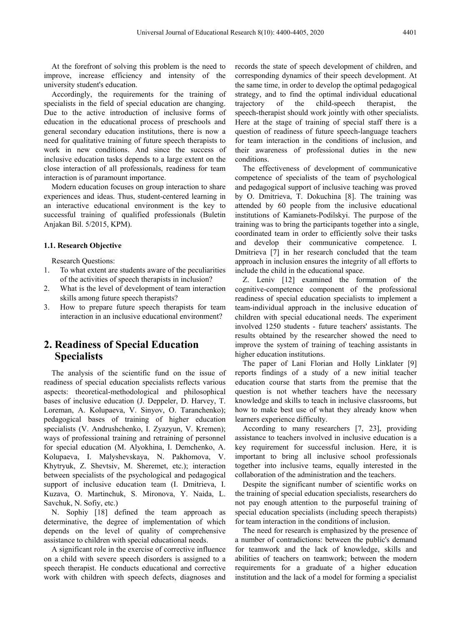At the forefront of solving this problem is the need to improve, increase efficiency and intensity of the university student's education.

Accordingly, the requirements for the training of specialists in the field of special education are changing. Due to the active introduction of inclusive forms of education in the educational process of preschools and general secondary education institutions, there is now a need for qualitative training of future speech therapists to work in new conditions. And since the success of inclusive education tasks depends to a large extent on the close interaction of all professionals, readiness for team interaction is of paramount importance.

Modern education focuses on group interaction to share experiences and ideas. Thus, student-centered learning in an interactive educational environment is the key to successful training of qualified professionals (Buletin Anjakan Bil. 5/2015, KPM).

#### **1.1. Research Objective**

Research Questions:

- 1. To what extent are students aware of the peculiarities of the activities of speech therapists in inclusion?
- 2. What is the level of development of team interaction skills among future speech therapists?
- 3. How to prepare future speech therapists for team interaction in an inclusive educational environment?

# **2. Readiness of Special Education Specialists**

The analysis of the scientific fund on the issue of readiness of special education specialists reflects various aspects: theoretical-methodological and philosophical bases of inclusive education (J. Deppeler, D. Harvey, T. Loreman, A. Kolupaeva, V. Sinyov, O. Taranchenko); pedagogical bases of training of higher education specialists (V. Andrushchenko, I. Zyazyun, V. Kremen); ways of professional training and retraining of personnel for special education (M. Alyokhina, I. Demchenko, A. Kolupaeva, I. Malyshevskaya, N. Pakhomova, V. Khytryuk, Z. Shevtsiv, M. Sheremet, etc.); interaction between specialists of the psychological and pedagogical support of inclusive education team (I. Dmitrieva, I. Kuzava, O. Martinchuk, S. Mironova, Y. Naida, L. Savchuk, N. Sofiy, etc.)

N. Sophiy [18] defined the team approach as determinative, the degree of implementation of which depends on the level of quality of comprehensive assistance to children with special educational needs.

A significant role in the exercise of corrective influence on a child with severe speech disorders is assigned to a speech therapist. He conducts educational and corrective work with children with speech defects, diagnoses and

records the state of speech development of children, and corresponding dynamics of their speech development. At the same time, in order to develop the optimal pedagogical strategy, and to find the optimal individual educational trajectory of the child-speech therapist, the speech-therapist should work jointly with other specialists. Here at the stage of training of special staff there is a question of readiness of future speech-language teachers for team interaction in the conditions of inclusion, and their awareness of professional duties in the new conditions.

The effectiveness of development of communicative competence of specialists of the team of psychological and pedagogical support of inclusive teaching was proved by O. Dmitrieva, T. Dokuchina [8]. The training was attended by 60 people from the inclusive educational institutions of Kamianets-Podilskyi. The purpose of the training was to bring the participants together into a single, coordinated team in order to efficiently solve their tasks and develop their communicative competence. I. Dmitrieva [7] in her research concluded that the team approach in inclusion ensures the integrity of all efforts to include the child in the educational space.

Z. Leniv [12] examined the formation of the cognitive-competence component of the professional readiness of special education specialists to implement a team-individual approach in the inclusive education of children with special educational needs. The experiment involved 1250 students - future teachers' assistants. The results obtained by the researcher showed the need to improve the system of training of teaching assistants in higher education institutions.

The paper of Lani Florian and Holly Linklater [9] reports findings of a study of a new initial teacher education course that starts from the premise that the question is not whether teachers have the necessary knowledge and skills to teach in inclusive classrooms, but how to make best use of what they already know when learners experience difficulty.

According to many researchers [7, 23], providing assistance to teachers involved in inclusive education is a key requirement for successful inclusion. Here, it is important to bring all inclusive school professionals together into inclusive teams, equally interested in the collaboration of the administration and the teachers.

Despite the significant number of scientific works on the training of special education specialists, researchers do not pay enough attention to the purposeful training of special education specialists (including speech therapists) for team interaction in the conditions of inclusion.

The need for research is emphasized by the presence of a number of contradictions: between the public's demand for teamwork and the lack of knowledge, skills and abilities of teachers on teamwork; between the modern requirements for a graduate of a higher education institution and the lack of a model for forming a specialist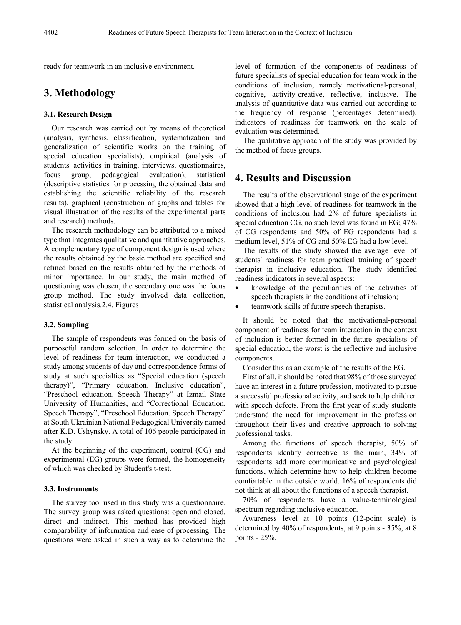ready for teamwork in an inclusive environment.

# **3. Methodology**

#### **3.1. Research Design**

Our research was carried out by means of theoretical (analysis, synthesis, classification, systematization and generalization of scientific works on the training of special education specialists), empirical (analysis of students' activities in training, interviews, questionnaires, focus group, pedagogical evaluation), statistical (descriptive statistics for processing the obtained data and establishing the scientific reliability of the research results), graphical (construction of graphs and tables for visual illustration of the results of the experimental parts and research) methods.

The research methodology can be attributed to a mixed type that integrates qualitative and quantitative approaches. A complementary type of component design is used where the results obtained by the basic method are specified and refined based on the results obtained by the methods of minor importance. In our study, the main method of questioning was chosen, the secondary one was the focus group method. The study involved data collection, statistical analysis.2.4. Figures

#### **3.2. Sampling**

The sample of respondents was formed on the basis of purposeful random selection. In order to determine the level of readiness for team interaction, we conducted a study among students of day and correspondence forms of study at such specialties as "Special education (speech therapy)", "Primary education. Inclusive education", "Preschool education. Speech Therapy" at Izmail State University of Humanities, and "Correctional Education. Speech Therapy", "Preschool Education. Speech Therapy" at South Ukrainian National Pedagogical University named after K.D. Ushynsky. A total of 106 people participated in the study.

At the beginning of the experiment, control (CG) and experimental (EG) groups were formed, the homogeneity of which was checked by Student's t-test.

#### **3.3. Instruments**

The survey tool used in this study was a questionnaire. The survey group was asked questions: open and closed, direct and indirect. This method has provided high comparability of information and ease of processing. The questions were asked in such a way as to determine the level of formation of the components of readiness of future specialists of special education for team work in the conditions of inclusion, namely motivational-personal, cognitive, activity-creative, reflective, inclusive. The analysis of quantitative data was carried out according to the frequency of response (percentages determined), indicators of readiness for teamwork on the scale of evaluation was determined.

The qualitative approach of the study was provided by the method of focus groups.

## **4. Results and Discussion**

The results of the observational stage of the experiment showed that a high level of readiness for teamwork in the conditions of inclusion had 2% of future specialists in special education CG, no such level was found in EG; 47% of CG respondents and 50% of EG respondents had a medium level, 51% of CG and 50% EG had a low level.

The results of the study showed the average level of students' readiness for team practical training of speech therapist in inclusive education. The study identified readiness indicators in several aspects:

- knowledge of the peculiarities of the activities of speech therapists in the conditions of inclusion;
- teamwork skills of future speech therapists.

It should be noted that the motivational-personal component of readiness for team interaction in the context of inclusion is better formed in the future specialists of special education, the worst is the reflective and inclusive components.

Consider this as an example of the results of the EG.

First of all, it should be noted that 98% of those surveyed have an interest in a future profession, motivated to pursue a successful professional activity, and seek to help children with speech defects. From the first year of study students understand the need for improvement in the profession throughout their lives and creative approach to solving professional tasks.

Among the functions of speech therapist, 50% of respondents identify corrective as the main, 34% of respondents add more communicative and psychological functions, which determine how to help children become comfortable in the outside world. 16% of respondents did not think at all about the functions of a speech therapist.

70% of respondents have a value-terminological spectrum regarding inclusive education.

Awareness level at 10 points (12-point scale) is determined by 40% of respondents, at 9 points - 35%, at 8 points - 25%.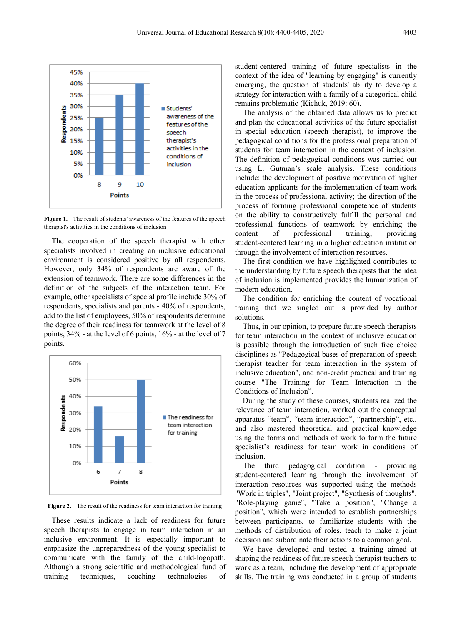

**Figure 1.** The result of students' awareness of the features of the speech therapist's activities in the conditions of inclusion

The cooperation of the speech therapist with other specialists involved in creating an inclusive educational environment is considered positive by all respondents. However, only 34% of respondents are aware of the extension of teamwork. There are some differences in the definition of the subjects of the interaction team. For example, other specialists of special profile include 30% of respondents, specialists and parents - 40% of respondents, add to the list of employees, 50% of respondents determine the degree of their readiness for teamwork at the level of 8 points, 34% - at the level of 6 points, 16% - at the level of 7 points.



**Figure 2.** The result of the readiness for team interaction for training

These results indicate a lack of readiness for future speech therapists to engage in team interaction in an inclusive environment. It is especially important to emphasize the unpreparedness of the young specialist to communicate with the family of the child-logopath. Although a strong scientific and methodological fund of training techniques, coaching technologies of student-centered training of future specialists in the context of the idea of "learning by engaging" is currently emerging, the question of students' ability to develop a strategy for interaction with a family of a categorical child remains problematic (Kichuk, 2019: 60).

The analysis of the obtained data allows us to predict and plan the educational activities of the future specialist in special education (speech therapist), to improve the pedagogical conditions for the professional preparation of students for team interaction in the context of inclusion. The definition of pedagogical conditions was carried out using L. Gutman's scale analysis. These conditions include: the development of positive motivation of higher education applicants for the implementation of team work in the process of professional activity; the direction of the process of forming professional competence of students on the ability to constructively fulfill the personal and professional functions of teamwork by enriching the content of professional training; providing student-centered learning in a higher education institution through the involvement of interaction resources.

The first condition we have highlighted contributes to the understanding by future speech therapists that the idea of inclusion is implemented provides the humanization of modern education.

The condition for enriching the content of vocational training that we singled out is provided by author solutions.

Thus, in our opinion, to prepare future speech therapists for team interaction in the context of inclusive education is possible through the introduction of such free choice disciplines as "Pedagogical bases of preparation of speech therapist teacher for team interaction in the system of inclusive education", and non-credit practical and training course "The Training for Team Interaction in the Conditions of Inclusion".

During the study of these courses, students realized the relevance of team interaction, worked out the conceptual apparatus "team", "team interaction", "partnership", etc., and also mastered theoretical and practical knowledge using the forms and methods of work to form the future specialist's readiness for team work in conditions of inclusion.

The third pedagogical condition - providing student-centered learning through the involvement of interaction resources was supported using the methods "Work in triples", "Joint project", "Synthesis of thoughts", "Role-playing game", "Take a position", "Change a position", which were intended to establish partnerships between participants, to familiarize students with the methods of distribution of roles, teach to make a joint decision and subordinate their actions to a common goal.

We have developed and tested a training aimed at shaping the readiness of future speech therapist teachers to work as a team, including the development of appropriate skills. The training was conducted in a group of students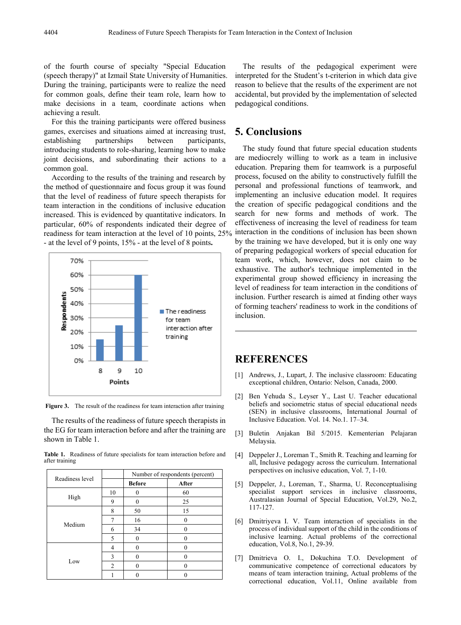of the fourth course of specialty "Special Education (speech therapy)" at Izmail State University of Humanities. During the training, participants were to realize the need for common goals, define their team role, learn how to make decisions in a team, coordinate actions when achieving a result.

For this the training participants were offered business games, exercises and situations aimed at increasing trust, establishing partnerships between participants, introducing students to role-sharing, learning how to make joint decisions, and subordinating their actions to a common goal.

According to the results of the training and research by the method of questionnaire and focus group it was found that the level of readiness of future speech therapists for team interaction in the conditions of inclusive education increased. This is evidenced by quantitative indicators. In particular, 60% of respondents indicated their degree of readiness for team interaction at the level of 10 points, 25% - at the level of 9 points, 15% - at the level of 8 points**.**



**Figure 3.** The result of the readiness for team interaction after training

The results of the readiness of future speech therapists in the EG for team interaction before and after the training are shown in Table 1.

**Table 1.** Readiness of future specialists for team interaction before and after training

| Readiness level |                | Number of respondents (percent) |       |
|-----------------|----------------|---------------------------------|-------|
|                 |                | <b>Before</b>                   | After |
| High            | 10             |                                 | 60    |
|                 | 9              |                                 | 25    |
| Medium          | 8              | 50                              | 15    |
|                 |                | 16                              | 0     |
|                 | 6              | 34                              |       |
|                 | 5              | $\mathbf{\Omega}$               |       |
| Low             | 4              |                                 |       |
|                 | 3              |                                 |       |
|                 | $\mathfrak{D}$ |                                 |       |
|                 |                |                                 |       |

The results of the pedagogical experiment were interpreted for the Student's t-criterion in which data give reason to believe that the results of the experiment are not accidental, but provided by the implementation of selected pedagogical conditions.

## **5. Conclusions**

The study found that future special education students are mediocrely willing to work as a team in inclusive education. Preparing them for teamwork is a purposeful process, focused on the ability to constructively fulfill the personal and professional functions of teamwork, and implementing an inclusive education model. It requires the creation of specific pedagogical conditions and the search for new forms and methods of work. The effectiveness of increasing the level of readiness for team interaction in the conditions of inclusion has been shown by the training we have developed, but it is only one way of preparing pedagogical workers of special education for team work, which, however, does not claim to be exhaustive. The author's technique implemented in the experimental group showed efficiency in increasing the level of readiness for team interaction in the conditions of inclusion. Further research is aimed at finding other ways of forming teachers' readiness to work in the conditions of inclusion.

## **REFERENCES**

- [1] Andrews, J., Lupart, J. The inclusive classroom: Educating exceptional children, Ontario: Nelson, Canada, 2000.
- [2] Ben Yehuda S., Leyser Y., Last U. Teacher educational beliefs and sociometric status of special educational needs (SEN) in inclusive classrooms, International Journal of Inclusive Education. Vol. 14. No.1. 17–34.
- [3] Buletin Anjakan Bil 5/2015. Kementerian Pelajaran Melaysia.
- [4] Deppeler J., Loreman T., Smith R. Teaching and learning for all, Inclusive pedagogy across the curriculum. International perspectives on inclusive education, Vol. 7, 1-10.
- [5] Deppeler, J., Loreman, T., Sharma, U. Reconceptualising specialist support services in inclusive classrooms, Australasian Journal of Special Education, Vol.29, No.2, 117-127.
- [6] Dmitriyeva I. V. Team interaction of specialists in the process of individual support of the child in the conditions of inclusive learning. Actual problems of the correctional education, Vol.8, No.1, 29-39.
- [7] Dmitrieva O. I., Dokuchina T.O. Development of communicative competence of correctional educators by means of team interaction training, Actual problems of the correctional education, Vol.11, Online available from